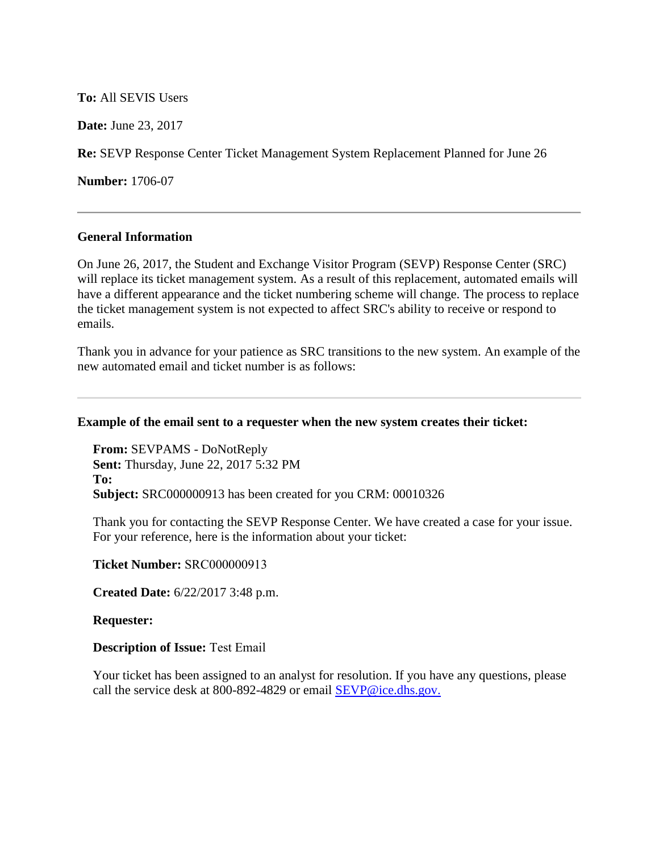## **To:** All SEVIS Users

**Date:** June 23, 2017

**Re:** SEVP Response Center Ticket Management System Replacement Planned for June 26

**Number:** 1706-07

#### **General Information**

On June 26, 2017, the Student and Exchange Visitor Program (SEVP) Response Center (SRC) will replace its ticket management system. As a result of this replacement, automated emails will have a different appearance and the ticket numbering scheme will change. The process to replace the ticket management system is not expected to affect SRC's ability to receive or respond to emails.

Thank you in advance for your patience as SRC transitions to the new system. An example of the new automated email and ticket number is as follows:

#### **Example of the email sent to a requester when the new system creates their ticket:**

**From:** SEVPAMS - DoNotReply **Sent:** Thursday, June 22, 2017 5:32 PM **To: Subject:** SRC000000913 has been created for you CRM: 00010326

Thank you for contacting the SEVP Response Center. We have created a case for your issue. For your reference, here is the information about your ticket:

**Ticket Number:** SRC000000913 

**Created Date:** 6/22/2017 3:48 p.m.

#### **Requester:**

## **Description of Issue:** Test Email

Your ticket has been assigned to an analyst for resolution. If you have any questions, please call the service desk at 800-892-4829 or email [SEVP@ice.dhs.gov.](mailto:SEVP@ice.dhs.gov)